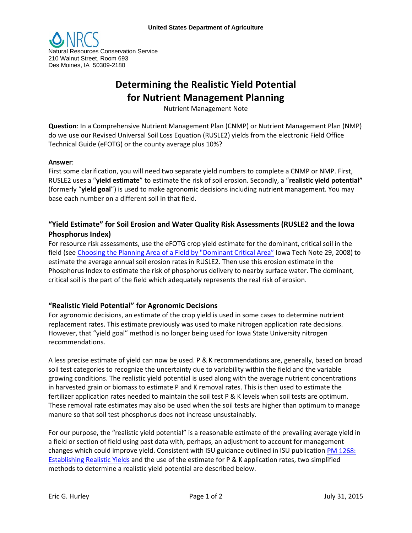

# **Determining the Realistic Yield Potential for Nutrient Management Planning**

Nutrient Management Note

**Question**: In a Comprehensive Nutrient Management Plan (CNMP) or Nutrient Management Plan (NMP) do we use our Revised Universal Soil Loss Equation (RUSLE2) yields from the electronic Field Office Technical Guide (eFOTG) or the county average plus 10%?

### **Answer**:

First some clarification, you will need two separate yield numbers to complete a CNMP or NMP. First, RUSLE2 uses a "**yield estimate**" to estimate the risk of soil erosion. Secondly, a "**realistic yield potential"** (formerly "**yield goal**") is used to make agronomic decisions including nutrient management. You may base each number on a different soil in that field.

## **"Yield Estimate" for Soil Erosion and Water Quality Risk Assessments (RUSLE2 and the Iowa Phosphorus Index)**

For resource risk assessments, use the eFOTG crop yield estimate for the dominant, critical soil in the field (see [Choosing the Planning Area of a Field by "Dominant Critical Area"](http://efotg.sc.egov.usda.gov/references/public/IA/AgronomyTECHnote29Nov08.pdf) Iowa Tech Note 29, 2008) to estimate the average annual soil erosion rates in RUSLE2. Then use this erosion estimate in the Phosphorus Index to estimate the risk of phosphorus delivery to nearby surface water. The dominant, critical soil is the part of the field which adequately represents the real risk of erosion.

## **"Realistic Yield Potential" for Agronomic Decisions**

For agronomic decisions, an estimate of the crop yield is used in some cases to determine nutrient replacement rates. This estimate previously was used to make nitrogen application rate decisions. However, that "yield goal" method is no longer being used for Iowa State University nitrogen recommendations.

A less precise estimate of yield can now be used. P & K recommendations are, generally, based on broad soil test categories to recognize the uncertainty due to variability within the field and the variable growing conditions. The realistic yield potential is used along with the average nutrient concentrations in harvested grain or biomass to estimate P and K removal rates. This is then used to estimate the fertilizer application rates needed to maintain the soil test P & K levels when soil tests are optimum. These removal rate estimates may also be used when the soil tests are higher than optimum to manage manure so that soil test phosphorus does not increase unsustainably.

For our purpose, the "realistic yield potential" is a reasonable estimate of the prevailing average yield in a field or section of field using past data with, perhaps, an adjustment to account for management changes which could improve yield. Consistent with ISU guidance outlined in ISU publication [PM 1268:](http://www.extension.iastate.edu/Publications/PM1268.pdf)  [Establishing Realistic Yields](http://www.extension.iastate.edu/Publications/PM1268.pdf) and the use of the estimate for P & K application rates, two simplified methods to determine a realistic yield potential are described below.